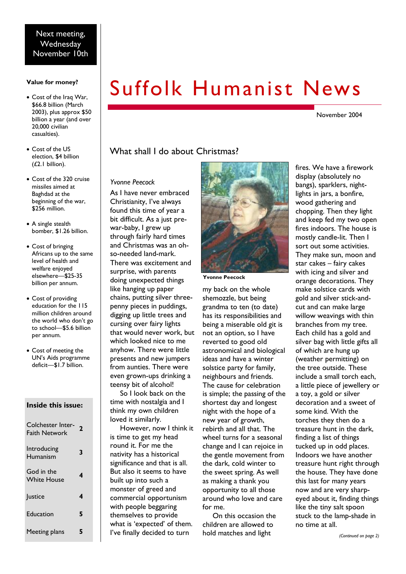#### **Value for money?**

- · Cost of the Iraq War, \$66.8 billion (March 2003), plus approx \$50 billion a year (and over 20,000 civilian casualties).
- · Cost of the US election, \$4 billion (£2.1 billion).
- · Cost of the 320 cruise missiles aimed at Baghdad at the beginning of the war, \$256 million.
- A single stealth bomber, \$1.26 billion.
- · Cost of bringing Africans up to the same level of health and welfare enjoyed elsewhere—\$25-35 billion per annum.
- · Cost of providing education for the 115 million children around the world who don't go to school—\$5.6 billion per annum.
- · Cost of meeting the UN's Aids programme deficit—\$1.7 billion.

#### **Inside this issue:**

| Colchester Inter-<br><b>Faith Network</b> | 2 |
|-------------------------------------------|---|
| Introducing<br>Humanism                   | 3 |
| God in the<br>White House                 | 4 |
| Justice                                   | 4 |
| Education                                 | 5 |
| Meeting plans                             |   |

# Suffolk Humanist News

November 2004

#### What shall I do about Christmas?

#### *Yvonne Peecock*

As I have never embraced Christianity, I've always found this time of year a bit difficult. As a just prewar-baby, I grew up through fairly hard times and Christmas was an ohso-needed land-mark. There was excitement and surprise, with parents doing unexpected things like hanging up paper chains, putting silver threepenny pieces in puddings, digging up little trees and cursing over fairy lights that would never work, but which looked nice to me anyhow. There were little presents and new jumpers from aunties. There were even grown-ups drinking a teensy bit of alcohol! So I look back on the time with nostalgia and I think my own children loved it similarly. However, now I think it

is time to get my head round it. For me the nativity has a historical significance and that is all. But also it seems to have built up into such a monster of greed and commercial opportunism with people beggaring themselves to provide what is 'expected' of them. I've finally decided to turn



**Yvonne Peecock** 

my back on the whole shemozzle, but being grandma to ten (to date) has its responsibilities and being a miserable old git is not an option, so I have reverted to good old astronomical and biological ideas and have a winter solstice party for family, neighbours and friends. The cause for celebration is simple; the passing of the shortest day and longest night with the hope of a new year of growth, rebirth and all that. The wheel turns for a seasonal change and I can rejoice in the gentle movement from the dark, cold winter to the sweet spring. As well as making a thank you opportunity to all those around who love and care for me.

On this occasion the children are allowed to hold matches and light

fires. We have a firework display (absolutely no bangs), sparklers, nightlights in jars, a bonfire, wood gathering and chopping. Then they light and keep fed my two open fires indoors. The house is mostly candle-lit. Then I sort out some activities. They make sun, moon and star cakes – fairy cakes with icing and silver and orange decorations. They make solstice cards with gold and silver stick-andcut and can make large willow weavings with thin branches from my tree. Each child has a gold and silver bag with little gifts all of which are hung up (weather permitting) on the tree outside. These include a small torch each, a little piece of jewellery or a toy, a gold or silver decoration and a sweet of some kind. With the torches they then do a treasure hunt in the dark, finding a list of things tucked up in odd places. Indoors we have another treasure hunt right through the house. They have done this last for many years now and are very sharpeyed about it, finding things like the tiny salt spoon stuck to the lamp-shade in no time at all.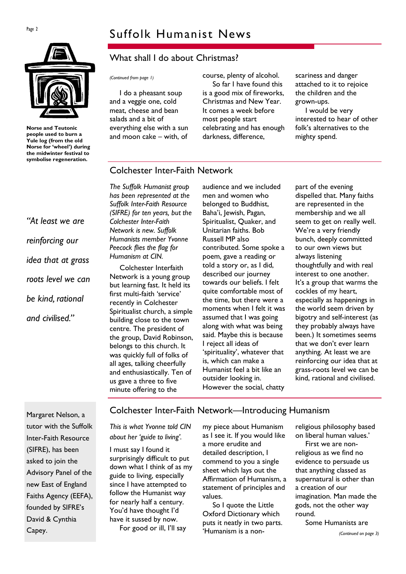# $P_{\text{age 2}}$  Suffolk Humanist News



**Norse and Teutonic people used to burn a Yule log (from the old Norse for 'wheel') during the midwinter festival to symbolise regeneration.** 

*"At least we are reinforcing our idea that at grass roots level we can be kind, rational and civilised."* 

### What shall I do about Christmas?

I do a pheasant soup and a veggie one, cold meat, cheese and bean salads and a bit of everything else with a sun and moon cake – with, of

*(Continued from page 1)* course, plenty of alcohol. So far I have found this is a good mix of fireworks, Christmas and New Year. It comes a week before most people start celebrating and has enough darkness, difference,

scariness and danger attached to it to rejoice the children and the grown-ups.

I would be very interested to hear of other folk's alternatives to the mighty spend.

#### Colchester Inter-Faith Network

*The Suffolk Humanist group has been represented at the Suffolk Inter-Faith Resource (SIFRE) for ten years, but the Colchester Inter-Faith Network is new. Suffolk Humanists member Yvonne Peecock flies the flag for Humanism at CIN.* 

Colchester Interfaith Network is a young group but learning fast. It held its first multi-faith 'service' recently in Colchester Spiritualist church, a simple building close to the town centre. The president of the group, David Robinson, belongs to this church. It was quickly full of folks of all ages, talking cheerfully and enthusiastically. Ten of us gave a three to five minute offering to the

audience and we included men and women who belonged to Buddhist, Baha'i, Jewish, Pagan, Spiritualist, Quaker, and Unitarian faiths. Bob Russell MP also contributed. Some spoke a poem, gave a reading or told a story or, as I did, described our journey towards our beliefs. I felt quite comfortable most of the time, but there were a moments when I felt it was assumed that I was going along with what was being said. Maybe this is because I reject all ideas of 'spirituality', whatever that is, which can make a Humanist feel a bit like an outsider looking in. However the social, chatty

part of the evening dispelled that. Many faiths are represented in the membership and we all seem to get on really well. We're a very friendly bunch, deeply committed to our own views but always listening thoughtfully and with real interest to one another. It's a group that warms the cockles of my heart, especially as happenings in the world seem driven by bigotry and self-interest (as they probably always have been.) It sometimes seems that we don't ever learn anything. At least we are reinforcing our idea that at grass-roots level we can be kind, rational and civilised.

Margaret Nelson, a tutor with the Suffolk Inter-Faith Resource (SIFRE), has been asked to join the Advisory Panel of the new East of England Faiths Agency (EEFA), founded by SIFRE's David & Cynthia Capey.

#### Colchester Inter-Faith Network—Introducing Humanism

*This is what Yvonne told CIN about her 'guide to living'.* 

I must say I found it surprisingly difficult to put down what I think of as my guide to living, especially since I have attempted to follow the Humanist way for nearly half a century. You'd have thought I'd have it sussed by now. For good or ill, I'll say

my piece about Humanism as I see it. If you would like a more erudite and detailed description, I commend to you a single sheet which lays out the Affirmation of Humanism, a statement of principles and values.

So I quote the Little Oxford Dictionary which puts it neatly in two parts. 'Humanism is a non-

religious philosophy based on liberal human values.'

First we are nonreligious as we find no evidence to persuade us that anything classed as supernatural is other than a creation of our imagination. Man made the gods, not the other way round.

Some Humanists are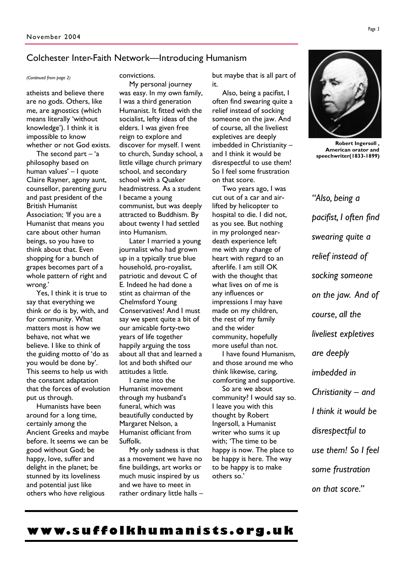#### Colchester Inter-Faith Network—Introducing Humanism

atheists and believe there are no gods. Others, like me, are agnostics (which means literally 'without knowledge'). I think it is impossible to know whether or not God exists.

The second part  $-$  'a philosophy based on human values' – I quote Claire Rayner, agony aunt, counsellor, parenting guru and past president of the British Humanist Association; 'If you are a Humanist that means you care about other human beings, so you have to think about that. Even shopping for a bunch of grapes becomes part of a whole pattern of right and wrong.'

Yes, I think it is true to say that everything we think or do is by, with, and for community. What matters most is how we behave, not what we believe. I like to think of the guiding motto of 'do as you would be done by'. This seems to help us with the constant adaptation that the forces of evolution put us through.

Humanists have been around for a long time, certainly among the Ancient Greeks and maybe before. It seems we can be good without God; be happy, love, suffer and delight in the planet; be stunned by its loveliness and potential just like others who *have* religious

*(Continued from page 2)* convictions.

My personal journey was easy. In my own family, I was a third generation Humanist. It fitted with the socialist, lefty ideas of the elders. I was given free reign to explore and discover for myself. I went to church, Sunday school, a little village church primary school, and secondary school with a Quaker headmistress. As a student I became a young communist, but was deeply attracted to Buddhism. By about twenty I had settled into Humanism.

Later I married a young journalist who had grown up in a typically true blue household, pro-royalist, patriotic and devout C of E. Indeed he had done a stint as chairman of the Chelmsford Young Conservatives! And I must say we spent quite a bit of our amicable forty-two years of life together happily arguing the toss about all that and learned a lot and both shifted our attitudes a little.

I came into the Humanist movement through my husband's funeral, which was beautifully conducted by Margaret Nelson, a Humanist officiant from Suffolk.

My only sadness is that as a movement we have no fine buildings, art works or much music inspired by us and we have to meet in rather ordinary little halls – but maybe that is all part of it.

Also, being a pacifist, I often find swearing quite a relief instead of socking someone on the jaw. And of course, all the liveliest expletives are deeply imbedded in Christianity – and I think it would be disrespectful to use them! So I feel some frustration on that score.

Two years ago, I was cut out of a car and airlifted by helicopter to hospital to die. I did not, as you see. But nothing in my prolonged neardeath experience left me with any change of heart with regard to an afterlife. I am still OK with the thought that what lives on of me is any influences or impressions I may have made on my children, the rest of my family and the wider community, hopefully more useful than not.

I have found Humanism, and those around me who think likewise, caring, comforting and supportive.

So are we about community? I would say so. I leave you with this thought by Robert Ingersoll, a Humanist writer who sums it up with; 'The time to be happy is now. The place to be happy is here. The way to be happy is to make others so.'



**Robert Ingersoll , American orator and speechwriter(1833-1899)** 

*"Also, being a pacifist, I often find swearing quite a relief instead of socking someone on the jaw. And of course, all the liveliest expletives are deeply imbedded in Christianity – and I think it would be disrespectful to use them! So I feel some frustration on that score."* 

## **www. s u f folk h uma [nists.](http://www.suffolkhumanists.org.uk) o rg. u k**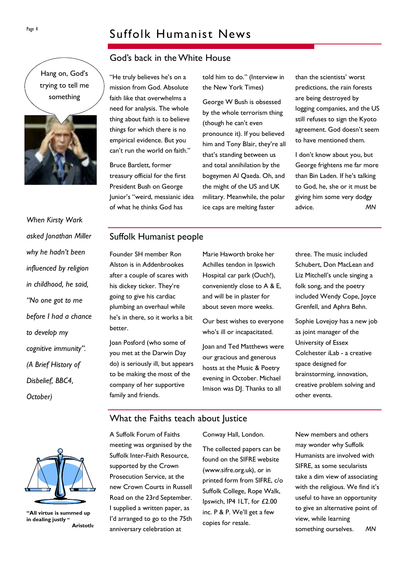# Page 4 Suffolk Humanist News

#### God's back in theWhite House

Hang on, God's trying to tell me something



*When Kirsty Wark asked Jonathan Miller why he hadn't been influenced by religion in childhood, he said, "No one got to me before I had a chance to develop my cognitive immunity". (A Brief History of Disbelief, BBC4, October)* 

"He truly believes he's on a mission from God. Absolute faith like that overwhelms a need for analysis. The whole thing about faith is to believe things for which there is no empirical evidence. But you can't run the world on faith."

Bruce Bartlett, former treasury official for the first President Bush on George Junior's "weird, messianic idea of what he thinks God has

the New York Times)

told him to do." (Interview in

George W Bush is obsessed by the whole terrorism thing (though he can't even pronounce it). If you believed him and Tony Blair, they're all that's standing between us and total annihilation by the bogeymen Al Qaeda. Oh, and the might of the US and UK military. Meanwhile, the polar ice caps are melting faster

than the scientists' worst predictions, the rain forests are being destroyed by logging companies, and the US still refuses to sign the Kyoto agreement. God doesn't seem to have mentioned them.

I don't know about you, but George frightens me far more than Bin Laden. If he's talking to God, he, she or it must be giving him some very dodgy advice. *MN*

#### Suffolk Humanist people

Founder SH member Ron Alston is in Addenbrookes after a couple of scares with his dickey ticker. They're going to give his cardiac plumbing an overhaul while he's in there, so it works a bit better.

Joan Posford (who some of you met at the Darwin Day do) is seriously ill, but appears to be making the most of the company of her supportive family and friends.

Marie Haworth broke her Achilles tendon in Ipswich Hospital car park (Ouch!), conveniently close to A & E, and will be in plaster for about seven more weeks.

Our best wishes to everyone who's ill or incapacitated.

Joan and Ted Matthews were our gracious and generous hosts at the Music & Poetry evening in October. Michael Imison was DJ. Thanks to all

three. The music included Schubert, Don MacLean and Liz Mitchell's uncle singing a folk song, and the poetry included Wendy Cope, Joyce Grenfell, and Aphra Behn.

Sophie Lovejoy has a new job as joint manager of the University of Essex Colchester iLab - a creative space designed for brainstorming, innovation, creative problem solving and other events.

**"All virtue is summed up in dealing justly " Aristotle** 

# What the Faiths teach about Justice

A Suffolk Forum of Faiths meeting was organised by the Suffolk Inter-Faith Resource, supported by the Crown Prosecution Service, at the new Crown Courts in Russell Road on the 23rd September. I supplied a written paper, as I'd arranged to go to the 75th anniversary celebration at

Conway Hall, London.

The collected papers can be found on the SIFRE website [\(www.sifre.org.uk](http://www.sifre.org.uk)), or in printed form from SIFRE, c/o Suffolk College, Rope Walk, Ipswich, IP4 1LT, for £2.00 inc. P & P. We'll get a few copies for resale.

New members and others may wonder why Suffolk Humanists are involved with SIFRE, as some secularists take a dim view of associating with the religious. We find it's useful to have an opportunity to give an alternative point of view, while learning something ourselves. *MN*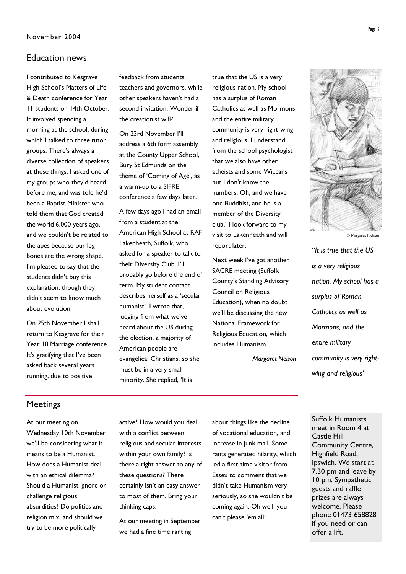#### Education news

I contributed to Kesgrave High School's Matters of Life & Death conference for Year 11 students on 14th October. It involved spending a morning at the school, during which I talked to three tutor groups. There's always a diverse collection of speakers at these things. I asked one of my groups who they'd heard before me, and was told he'd been a Baptist Minister who told them that God created the world 6,000 years ago, and we couldn't be related to the apes because our leg bones are the wrong shape. I'm pleased to say that the students didn't buy this explanation, though they didn't seem to know much about evolution.

On 25th November I shall return to Kesgrave for their Year 10 Marriage conference. It's gratifying that I've been asked back several years running, due to positive

feedback from students, teachers and governors, while other speakers haven't had a second invitation. Wonder if the creationist will?

On 23rd November I'll address a 6th form assembly at the County Upper School, Bury St Edmunds on the theme of 'Coming of Age', as a warm-up to a SIFRE conference a few days later.

A few days ago I had an email from a student at the American High School at RAF Lakenheath, Suffolk, who asked for a speaker to talk to their Diversity Club. I'll probably go before the end of term. My student contact describes herself as a 'secular humanist'. I wrote that, judging from what we've heard about the US during the election, a majority of American people are evangelical Christians, so she must be in a very small minority. She replied, 'It is

true that the US is a very religious nation. My school has a surplus of Roman Catholics as well as Mormons and the entire military community is very right-wing and religious. I understand from the school psychologist that we also have other atheists and some Wiccans but I don't know the numbers. Oh, and we have one Buddhist, and he is a member of the Diversity club.' I look forward to my visit to Lakenheath and will report later.

Next week I've got another SACRE meeting (Suffolk County's Standing Advisory Council on Religious Education), when no doubt we'll be discussing the new National Framework for Religious Education, which includes Humanism.

*Margaret Nelson* 



© Margaret Nelson

*"It is true that the US is a very religious nation. My school has a surplus of Roman Catholics as well as Mormons, and the entire military community is very rightwing and religious"* 

#### **Meetings**

At our meeting on Wednesday 10th November we'll be considering what it means to be a Humanist. How does a Humanist deal with an ethical dilemma? Should a Humanist ignore or challenge religious absurdities? Do politics and religion mix, and should we try to be more politically

active? How would you deal with a conflict between religious and secular interests within your own family? Is there a right answer to any of these questions? There certainly isn't an easy answer to most of them. Bring your thinking caps.

At our meeting in September we had a fine time ranting

about things like the decline of vocational education, and increase in junk mail. Some rants generated hilarity, which led a first-time visitor from Essex to comment that we didn't take Humanism very seriously, so she wouldn't be coming again. Oh well, you can't please 'em all!

Suffolk Humanists meet in Room 4 at Castle Hill Community Centre, Highfield Road, Ipswich. We start at 7.30 pm and leave by 10 pm. Sympathetic guests and raffle prizes are always welcome. Please phone 01473 658828 if you need or can offer a lift.